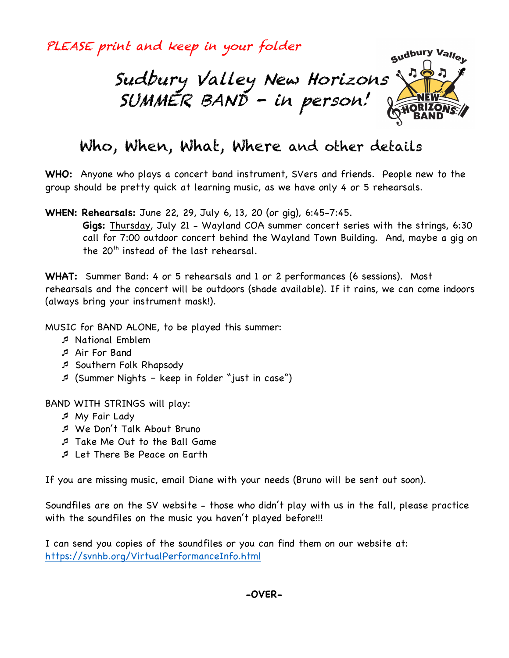PLEASE print and keep in your folder



# Who, When, What, Where and other details

**WHO:** Anyone who plays a concert band instrument, SVers and friends. People new to the group should be pretty quick at learning music, as we have only 4 or 5 rehearsals.

**WHEN: Rehearsals:** June 22, 29, July 6, 13, 20 (or gig), 6:45-7:45.

**Gigs:** Thursday, July 21 - Wayland COA summer concert series with the strings, 6:30 call for 7:00 outdoor concert behind the Wayland Town Building. And, maybe a gig on the  $20<sup>th</sup>$  instead of the last rehearsal.

**WHAT:** Summer Band: 4 or 5 rehearsals and 1 or 2 performances (6 sessions). Most rehearsals and the concert will be outdoors (shade available). If it rains, we can come indoors (always bring your instrument mask!).

MUSIC for BAND ALONE, to be played this summer:

- ¯ National Emblem
- ¯ Air For Band
- ¯ Southern Folk Rhapsody
- ¯ (Summer Nights keep in folder "just in case")

BAND WITH STRINGS will play:

- ¯ My Fair Lady
- ¯ We Don't Talk About Bruno
- ¯ Take Me Out to the Ball Game
- ¯ Let There Be Peace on Earth

If you are missing music, email Diane with your needs (Bruno will be sent out soon).

Soundfiles are on the SV website - those who didn't play with us in the fall, please practice with the soundfiles on the music you haven't played before!!!

I can send you copies of the soundfiles or you can find them on our website at: https://svnhb.org/VirtualPerformanceInfo.html

**-OVER-**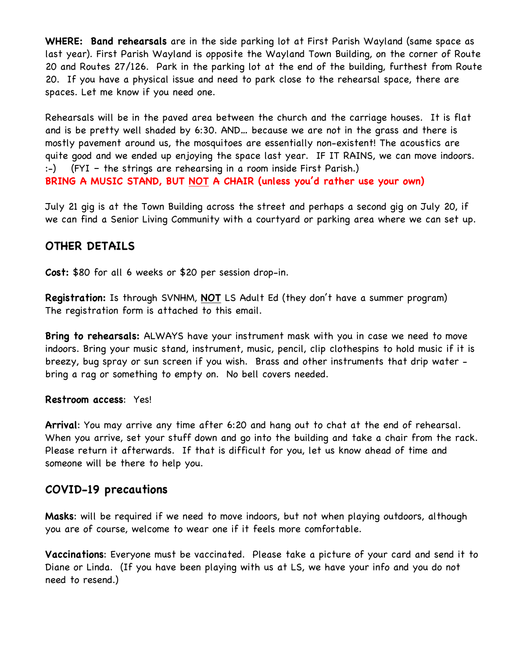**WHERE: Band rehearsals** are in the side parking lot at First Parish Wayland (same space as last year). First Parish Wayland is opposite the Wayland Town Building, on the corner of Route 20 and Routes 27/126. Park in the parking lot at the end of the building, furthest from Route 20. If you have a physical issue and need to park close to the rehearsal space, there are spaces. Let me know if you need one.

Rehearsals will be in the paved area between the church and the carriage houses. It is flat and is be pretty well shaded by 6:30. AND… because we are not in the grass and there is mostly pavement around us, the mosquitoes are essentially non-existent! The acoustics are quite good and we ended up enjoying the space last year. IF IT RAINS, we can move indoors. :-) (FYI – the strings are rehearsing in a room inside First Parish.) **BRING A MUSIC STAND, BUT NOT A CHAIR (unless you'd rather use your own)**

July 21 gig is at the Town Building across the street and perhaps a second gig on July 20, if we can find a Senior Living Community with a courtyard or parking area where we can set up.

# **OTHER DETAILS**

**Cost:** \$80 for all 6 weeks or \$20 per session drop-in.

**Registration:** Is through SVNHM, **NOT** LS Adult Ed (they don't have a summer program) The registration form is attached to this email.

**Bring to rehearsals:** ALWAYS have your instrument mask with you in case we need to move indoors. Bring your music stand, instrument, music, pencil, clip clothespins to hold music if it is breezy, bug spray or sun screen if you wish. Brass and other instruments that drip water bring a rag or something to empty on. No bell covers needed.

#### **Restroom access**: Yes!

**Arrival**: You may arrive any time after 6:20 and hang out to chat at the end of rehearsal. When you arrive, set your stuff down and go into the building and take a chair from the rack. Please return it afterwards. If that is difficult for you, let us know ahead of time and someone will be there to help you.

## **COVID-19 precautions**

**Masks**: will be required if we need to move indoors, but not when playing outdoors, although you are of course, welcome to wear one if it feels more comfortable.

**Vaccinations**: Everyone must be vaccinated. Please take a picture of your card and send it to Diane or Linda. (If you have been playing with us at LS, we have your info and you do not need to resend.)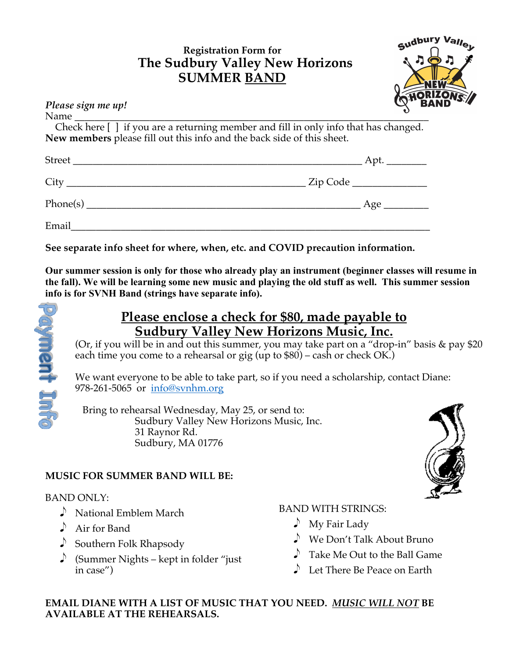# **Registration Form for The Sudbury Valley New Horizons SUMMER BAND**



| Please sign me up!                                                                  | $\mathbb{Q}^{\cdot\cdot}$ BA |
|-------------------------------------------------------------------------------------|------------------------------|
|                                                                                     |                              |
| Check here [] if you are a returning member and fill in only info that has changed. |                              |
| New members please fill out this info and the back side of this sheet.              |                              |
|                                                                                     |                              |
|                                                                                     |                              |
|                                                                                     |                              |
|                                                                                     |                              |

**See separate info sheet for where, when, etc. and COVID precaution information.**

**Our summer session is only for those who already play an instrument (beginner classes will resume in the fall). We will be learning some new music and playing the old stuff as well. This summer session info is for SVNH Band (strings have separate info).**



# **Please enclose a check for \$80, made payable to Sudbury Valley New Horizons Music, Inc.**

(Or, if you will be in and out this summer, you may take part on a "drop-in" basis & pay \$20 each time you come to a rehearsal or gig (up to  $$80$ ) – cash or check OK.)

We want everyone to be able to take part, so if you need a scholarship, contact Diane: 978-261-5065 or info@svnhm.org

 Bring to rehearsal Wednesday, May 25, or send to: Sudbury Valley New Horizons Music, Inc. 31 Raynor Rd. Sudbury, MA 01776

# **MUSIC FOR SUMMER BAND WILL BE:**

## BAND ONLY:

- $\sum$  National Emblem March
- $\triangle$  Air for Band
- $\triangle$  Southern Folk Rhapsody
- Summer Nights kept in folder "just" in case")

## BAND WITH STRINGS:

- $\bigwedge$  My Fair Lady
- $\bullet$  We Don't Talk About Bruno
- $\triangle$  Take Me Out to the Ball Game
- $\blacktriangleright$  Let There Be Peace on Earth

## **EMAIL DIANE WITH A LIST OF MUSIC THAT YOU NEED.** *MUSIC WILL NOT* **BE AVAILABLE AT THE REHEARSALS.**